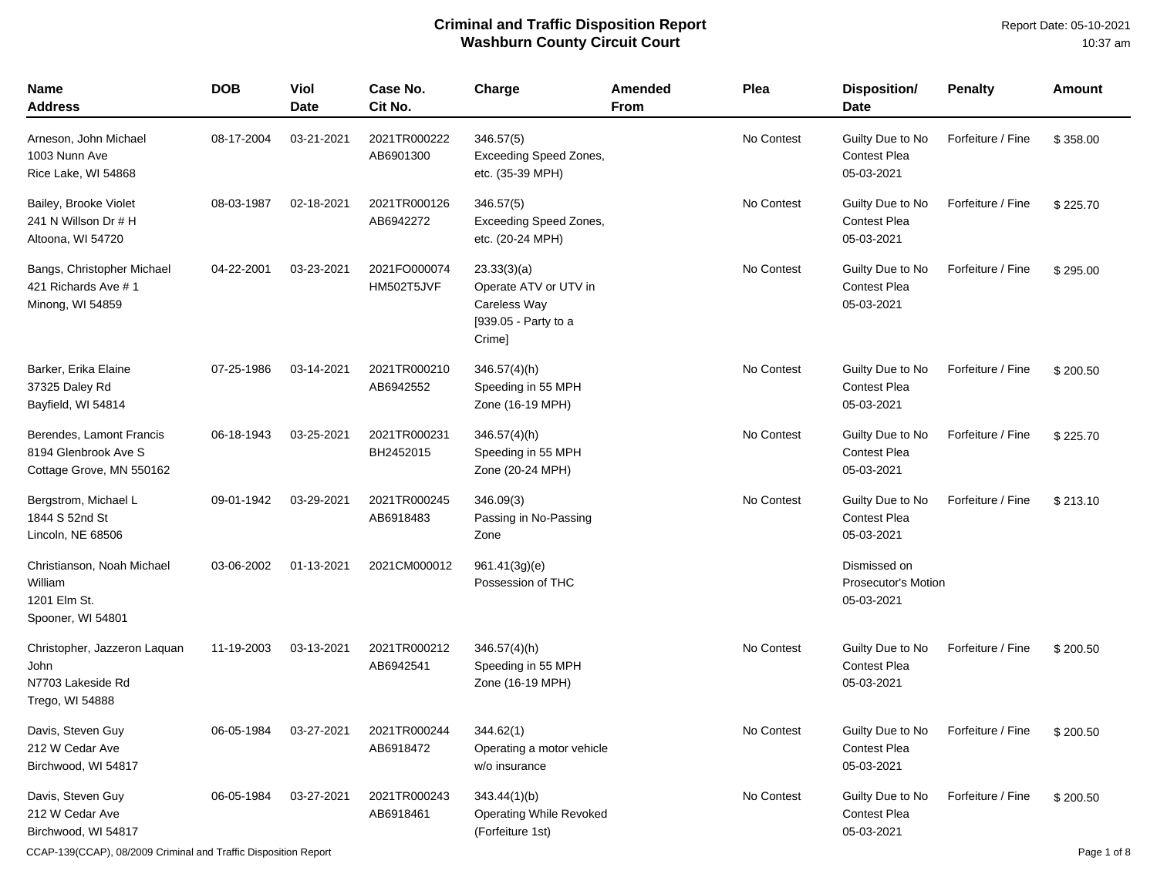| Name<br>Address                                                              | <b>DOB</b> | Viol<br>Date | Case No.<br>Cit No.        | Charge                                                                                 | <b>Amended</b><br><b>From</b> | Plea       | Disposition/<br><b>Date</b>                              | <b>Penalty</b>    | Amount   |
|------------------------------------------------------------------------------|------------|--------------|----------------------------|----------------------------------------------------------------------------------------|-------------------------------|------------|----------------------------------------------------------|-------------------|----------|
| Arneson, John Michael<br>1003 Nunn Ave<br>Rice Lake, WI 54868                | 08-17-2004 | 03-21-2021   | 2021TR000222<br>AB6901300  | 346.57(5)<br><b>Exceeding Speed Zones,</b><br>etc. (35-39 MPH)                         |                               | No Contest | Guilty Due to No<br><b>Contest Plea</b><br>05-03-2021    | Forfeiture / Fine | \$358.00 |
| Bailey, Brooke Violet<br>241 N Willson Dr # H<br>Altoona, WI 54720           | 08-03-1987 | 02-18-2021   | 2021TR000126<br>AB6942272  | 346.57(5)<br>Exceeding Speed Zones,<br>etc. (20-24 MPH)                                |                               | No Contest | Guilty Due to No<br><b>Contest Plea</b><br>05-03-2021    | Forfeiture / Fine | \$225.70 |
| Bangs, Christopher Michael<br>421 Richards Ave # 1<br>Minong, WI 54859       | 04-22-2001 | 03-23-2021   | 2021FO000074<br>HM502T5JVF | 23.33(3)(a)<br>Operate ATV or UTV in<br>Careless Way<br>[939.05 - Party to a<br>Crime] |                               | No Contest | Guilty Due to No<br>Contest Plea<br>05-03-2021           | Forfeiture / Fine | \$295.00 |
| Barker, Erika Elaine<br>37325 Daley Rd<br>Bayfield, WI 54814                 | 07-25-1986 | 03-14-2021   | 2021TR000210<br>AB6942552  | $346.57(4)$ (h)<br>Speeding in 55 MPH<br>Zone (16-19 MPH)                              |                               | No Contest | Guilty Due to No<br><b>Contest Plea</b><br>05-03-2021    | Forfeiture / Fine | \$200.50 |
| Berendes, Lamont Francis<br>8194 Glenbrook Ave S<br>Cottage Grove, MN 550162 | 06-18-1943 | 03-25-2021   | 2021TR000231<br>BH2452015  | $346.57(4)$ (h)<br>Speeding in 55 MPH<br>Zone (20-24 MPH)                              |                               | No Contest | Guilty Due to No<br><b>Contest Plea</b><br>05-03-2021    | Forfeiture / Fine | \$225.70 |
| Bergstrom, Michael L<br>1844 S 52nd St<br>Lincoln, NE 68506                  | 09-01-1942 | 03-29-2021   | 2021TR000245<br>AB6918483  | 346.09(3)<br>Passing in No-Passing<br>Zone                                             |                               | No Contest | Guilty Due to No<br><b>Contest Plea</b><br>05-03-2021    | Forfeiture / Fine | \$213.10 |
| Christianson, Noah Michael<br>William<br>1201 Elm St.<br>Spooner, WI 54801   | 03-06-2002 | 01-13-2021   | 2021CM000012               | 961.41(3g)(e)<br>Possession of THC                                                     |                               |            | Dismissed on<br><b>Prosecutor's Motion</b><br>05-03-2021 |                   |          |
| Christopher, Jazzeron Laquan<br>John<br>N7703 Lakeside Rd<br>Trego, WI 54888 | 11-19-2003 | 03-13-2021   | 2021TR000212<br>AB6942541  | 346.57(4)(h)<br>Speeding in 55 MPH<br>Zone (16-19 MPH)                                 |                               | No Contest | Guilty Due to No<br><b>Contest Plea</b><br>05-03-2021    | Forfeiture / Fine | \$200.50 |
| Davis, Steven Guy<br>212 W Cedar Ave<br>Birchwood, WI 54817                  | 06-05-1984 | 03-27-2021   | 2021TR000244<br>AB6918472  | 344.62(1)<br>Operating a motor vehicle<br>w/o insurance                                |                               | No Contest | Guilty Due to No<br><b>Contest Plea</b><br>05-03-2021    | Forfeiture / Fine | \$200.50 |
| Davis, Steven Guy<br>212 W Cedar Ave<br>Birchwood, WI 54817                  | 06-05-1984 | 03-27-2021   | 2021TR000243<br>AB6918461  | 343.44(1)(b)<br>Operating While Revoked<br>(Forfeiture 1st)                            |                               | No Contest | Guilty Due to No<br><b>Contest Plea</b><br>05-03-2021    | Forfeiture / Fine | \$200.50 |

CCAP-139(CCAP), 08/2009 Criminal and Traffic Disposition Report Page 1 of 8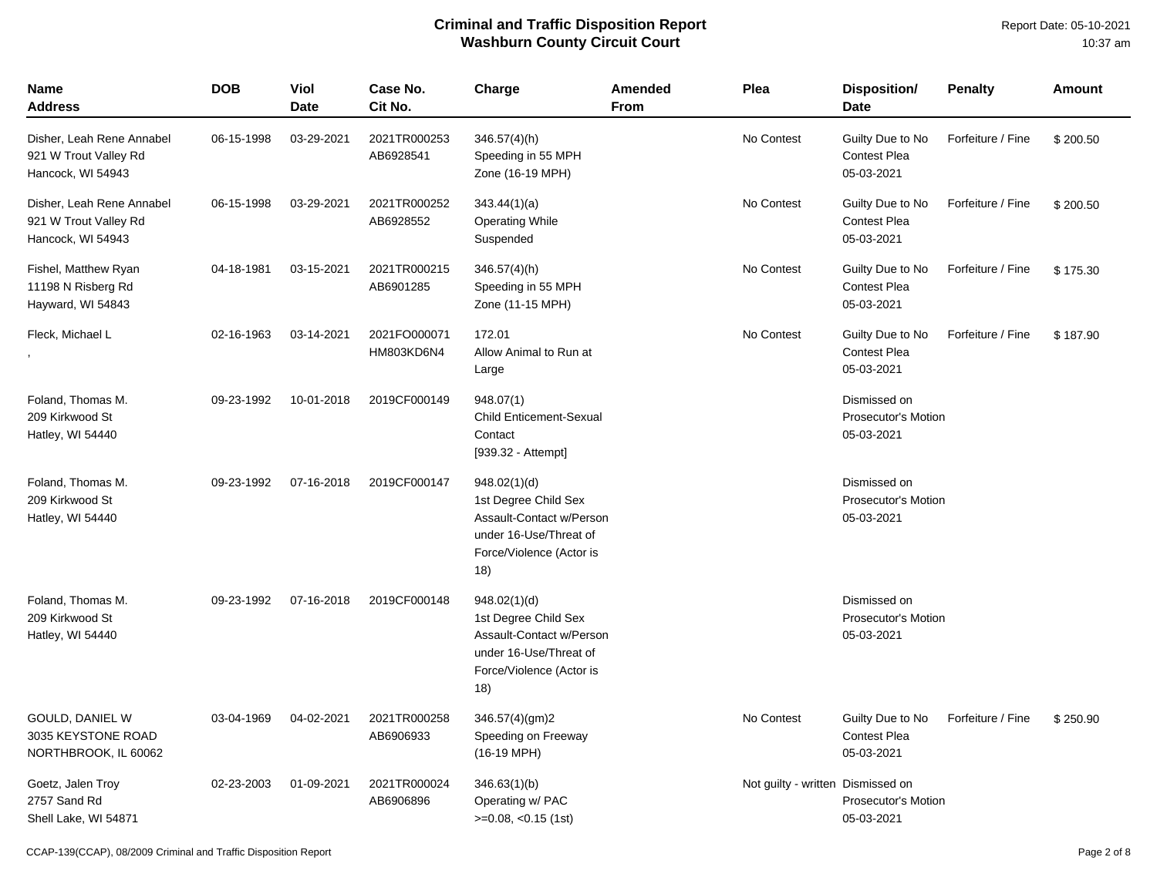Report Date: 05-10-2021 10:37 am

| Name<br><b>Address</b>                                                  | <b>DOB</b> | Viol<br>Date | Case No.<br>Cit No.        | Charge                                                                                                                        | Amended<br>From | Plea                              | <b>Disposition/</b><br><b>Date</b>                       | <b>Penalty</b>    | Amount   |
|-------------------------------------------------------------------------|------------|--------------|----------------------------|-------------------------------------------------------------------------------------------------------------------------------|-----------------|-----------------------------------|----------------------------------------------------------|-------------------|----------|
| Disher, Leah Rene Annabel<br>921 W Trout Valley Rd<br>Hancock, WI 54943 | 06-15-1998 | 03-29-2021   | 2021TR000253<br>AB6928541  | $346.57(4)$ (h)<br>Speeding in 55 MPH<br>Zone (16-19 MPH)                                                                     |                 | No Contest                        | Guilty Due to No<br>Contest Plea<br>05-03-2021           | Forfeiture / Fine | \$200.50 |
| Disher, Leah Rene Annabel<br>921 W Trout Valley Rd<br>Hancock, WI 54943 | 06-15-1998 | 03-29-2021   | 2021TR000252<br>AB6928552  | 343.44(1)(a)<br><b>Operating While</b><br>Suspended                                                                           |                 | No Contest                        | Guilty Due to No<br><b>Contest Plea</b><br>05-03-2021    | Forfeiture / Fine | \$200.50 |
| Fishel, Matthew Ryan<br>11198 N Risberg Rd<br>Hayward, WI 54843         | 04-18-1981 | 03-15-2021   | 2021TR000215<br>AB6901285  | $346.57(4)$ (h)<br>Speeding in 55 MPH<br>Zone (11-15 MPH)                                                                     |                 | No Contest                        | Guilty Due to No<br><b>Contest Plea</b><br>05-03-2021    | Forfeiture / Fine | \$175.30 |
| Fleck, Michael L                                                        | 02-16-1963 | 03-14-2021   | 2021FO000071<br>HM803KD6N4 | 172.01<br>Allow Animal to Run at<br>Large                                                                                     |                 | No Contest                        | Guilty Due to No<br><b>Contest Plea</b><br>05-03-2021    | Forfeiture / Fine | \$187.90 |
| Foland, Thomas M.<br>209 Kirkwood St<br>Hatley, WI 54440                | 09-23-1992 | 10-01-2018   | 2019CF000149               | 948.07(1)<br><b>Child Enticement-Sexual</b><br>Contact<br>[939.32 - Attempt]                                                  |                 |                                   | Dismissed on<br><b>Prosecutor's Motion</b><br>05-03-2021 |                   |          |
| Foland, Thomas M.<br>209 Kirkwood St<br>Hatley, WI 54440                | 09-23-1992 | 07-16-2018   | 2019CF000147               | 948.02(1)(d)<br>1st Degree Child Sex<br>Assault-Contact w/Person<br>under 16-Use/Threat of<br>Force/Violence (Actor is<br>18) |                 |                                   | Dismissed on<br><b>Prosecutor's Motion</b><br>05-03-2021 |                   |          |
| Foland, Thomas M.<br>209 Kirkwood St<br>Hatley, WI 54440                | 09-23-1992 | 07-16-2018   | 2019CF000148               | 948.02(1)(d)<br>1st Degree Child Sex<br>Assault-Contact w/Person<br>under 16-Use/Threat of<br>Force/Violence (Actor is<br>18) |                 |                                   | Dismissed on<br><b>Prosecutor's Motion</b><br>05-03-2021 |                   |          |
| GOULD, DANIEL W<br>3035 KEYSTONE ROAD<br>NORTHBROOK, IL 60062           | 03-04-1969 | 04-02-2021   | 2021TR000258<br>AB6906933  | 346.57(4)(gm)2<br>Speeding on Freeway<br>$(16-19 \text{ MPH})$                                                                |                 | No Contest                        | Guilty Due to No<br><b>Contest Plea</b><br>05-03-2021    | Forfeiture / Fine | \$250.90 |
| Goetz, Jalen Troy<br>2757 Sand Rd<br>Shell Lake, WI 54871               | 02-23-2003 | 01-09-2021   | 2021TR000024<br>AB6906896  | 346.63(1)(b)<br>Operating w/ PAC<br>$>=0.08, <0.15$ (1st)                                                                     |                 | Not guilty - written Dismissed on | <b>Prosecutor's Motion</b><br>05-03-2021                 |                   |          |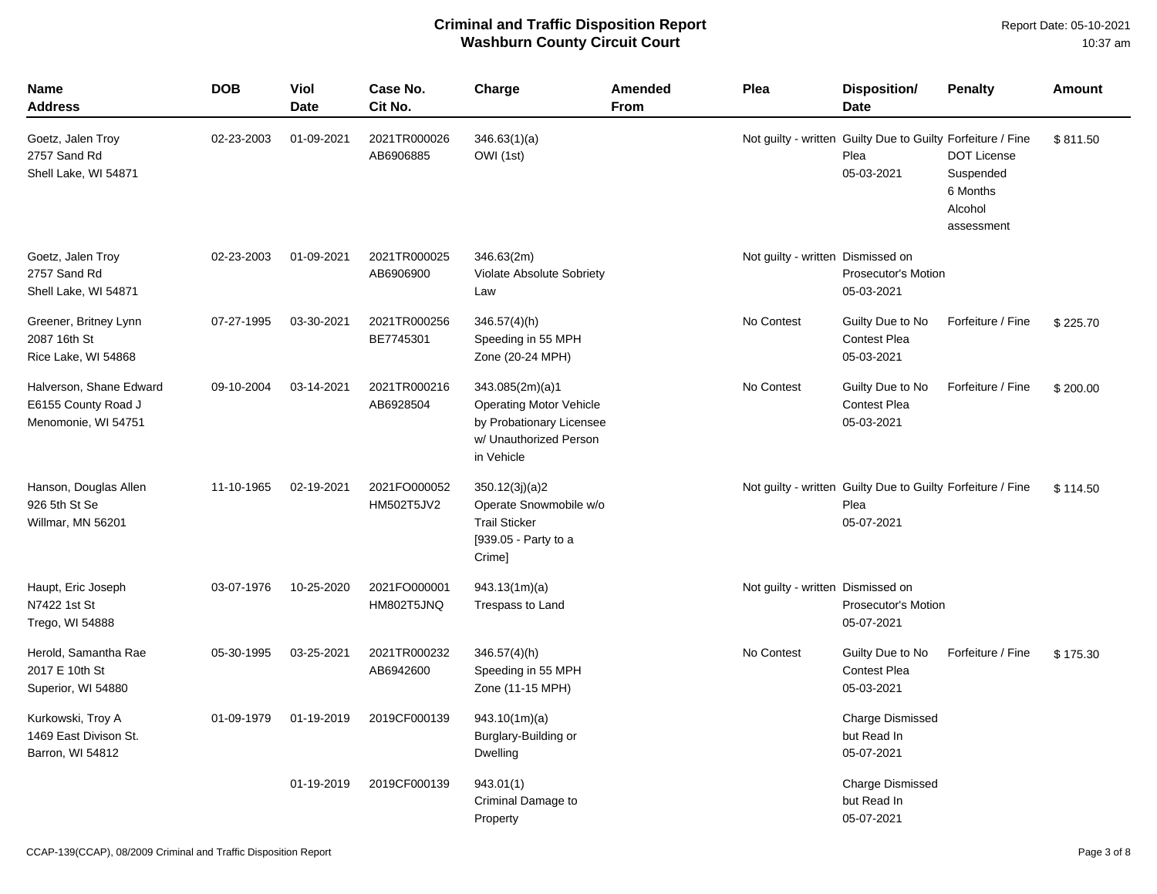Report Date: 05-10-2021 10:37 am

| <b>Name</b><br>Address                                                | <b>DOB</b> | Viol<br>Date | Case No.<br>Cit No.        | Charge                                                                                                                | <b>Amended</b><br><b>From</b> | Plea                              | Disposition/<br><b>Date</b>                                                       | <b>Penalty</b>                                                       | Amount   |
|-----------------------------------------------------------------------|------------|--------------|----------------------------|-----------------------------------------------------------------------------------------------------------------------|-------------------------------|-----------------------------------|-----------------------------------------------------------------------------------|----------------------------------------------------------------------|----------|
| Goetz, Jalen Troy<br>2757 Sand Rd<br>Shell Lake, WI 54871             | 02-23-2003 | 01-09-2021   | 2021TR000026<br>AB6906885  | 346.63(1)(a)<br>OWI (1st)                                                                                             |                               |                                   | Not guilty - written Guilty Due to Guilty Forfeiture / Fine<br>Plea<br>05-03-2021 | <b>DOT License</b><br>Suspended<br>6 Months<br>Alcohol<br>assessment | \$811.50 |
| Goetz, Jalen Troy<br>2757 Sand Rd<br>Shell Lake, WI 54871             | 02-23-2003 | 01-09-2021   | 2021TR000025<br>AB6906900  | 346.63(2m)<br>Violate Absolute Sobriety<br>Law                                                                        |                               | Not guilty - written Dismissed on | <b>Prosecutor's Motion</b><br>05-03-2021                                          |                                                                      |          |
| Greener, Britney Lynn<br>2087 16th St<br>Rice Lake, WI 54868          | 07-27-1995 | 03-30-2021   | 2021TR000256<br>BE7745301  | $346.57(4)$ (h)<br>Speeding in 55 MPH<br>Zone (20-24 MPH)                                                             |                               | No Contest                        | Guilty Due to No<br><b>Contest Plea</b><br>05-03-2021                             | Forfeiture / Fine                                                    | \$225.70 |
| Halverson, Shane Edward<br>E6155 County Road J<br>Menomonie, WI 54751 | 09-10-2004 | 03-14-2021   | 2021TR000216<br>AB6928504  | 343.085(2m)(a)1<br><b>Operating Motor Vehicle</b><br>by Probationary Licensee<br>w/ Unauthorized Person<br>in Vehicle |                               | No Contest                        | Guilty Due to No<br><b>Contest Plea</b><br>05-03-2021                             | Forfeiture / Fine                                                    | \$200.00 |
| Hanson, Douglas Allen<br>926 5th St Se<br>Willmar, MN 56201           | 11-10-1965 | 02-19-2021   | 2021FO000052<br>HM502T5JV2 | 350.12(3j)(a)2<br>Operate Snowmobile w/o<br><b>Trail Sticker</b><br>[939.05 - Party to a<br>Crime]                    |                               |                                   | Not guilty - written Guilty Due to Guilty Forfeiture / Fine<br>Plea<br>05-07-2021 |                                                                      | \$114.50 |
| Haupt, Eric Joseph<br>N7422 1st St<br>Trego, WI 54888                 | 03-07-1976 | 10-25-2020   | 2021FO000001<br>HM802T5JNQ | 943.13(1m)(a)<br>Trespass to Land                                                                                     |                               | Not guilty - written Dismissed on | <b>Prosecutor's Motion</b><br>05-07-2021                                          |                                                                      |          |
| Herold, Samantha Rae<br>2017 E 10th St<br>Superior, WI 54880          | 05-30-1995 | 03-25-2021   | 2021TR000232<br>AB6942600  | $346.57(4)$ (h)<br>Speeding in 55 MPH<br>Zone (11-15 MPH)                                                             |                               | No Contest                        | Guilty Due to No<br><b>Contest Plea</b><br>05-03-2021                             | Forfeiture / Fine                                                    | \$175.30 |
| Kurkowski, Troy A<br>1469 East Divison St.<br>Barron, WI 54812        | 01-09-1979 | 01-19-2019   | 2019CF000139               | 943.10(1m)(a)<br>Burglary-Building or<br>Dwelling                                                                     |                               |                                   | Charge Dismissed<br>but Read In<br>05-07-2021                                     |                                                                      |          |
|                                                                       |            | 01-19-2019   | 2019CF000139               | 943.01(1)<br>Criminal Damage to<br>Property                                                                           |                               |                                   | <b>Charge Dismissed</b><br>but Read In<br>05-07-2021                              |                                                                      |          |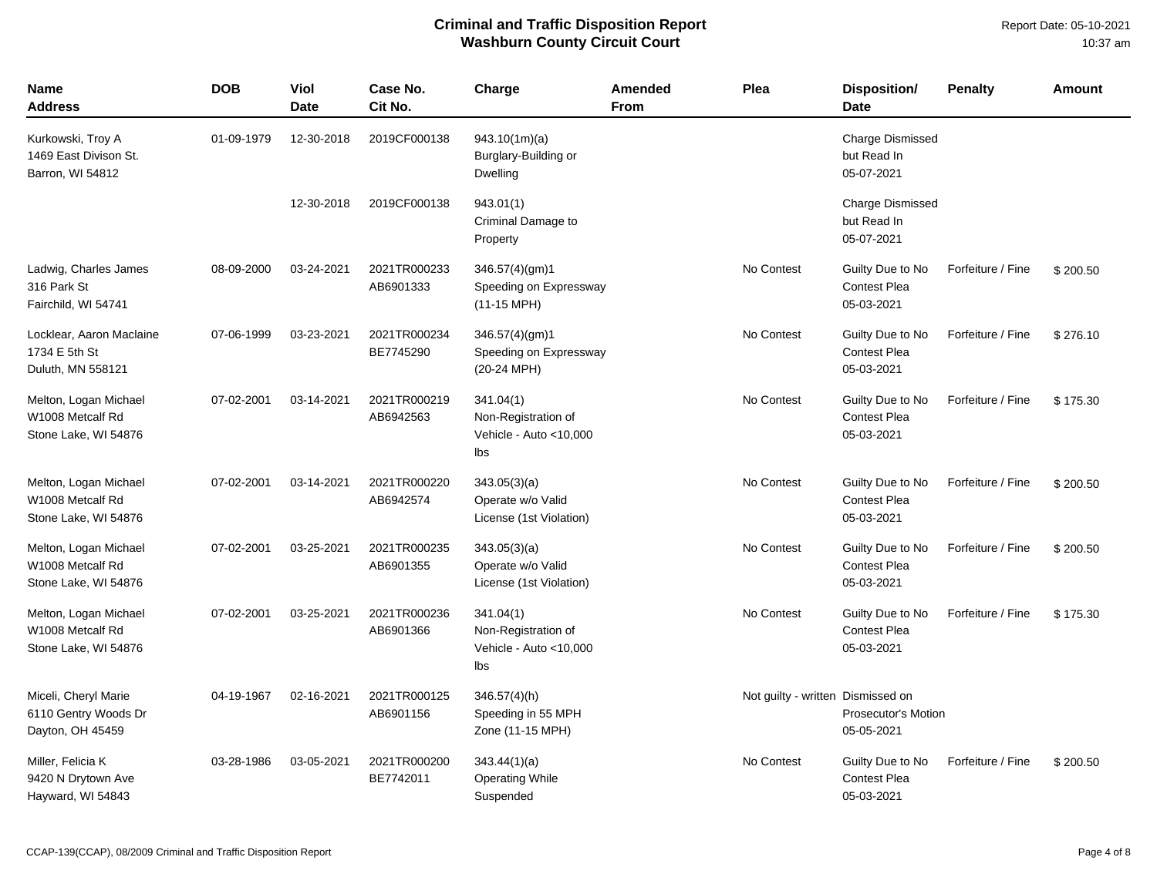| Name<br><b>Address</b>                                            | <b>DOB</b> | Viol<br><b>Date</b> | Case No.<br>Cit No.       | Charge                                                            | Amended<br><b>From</b> | Plea                              | <b>Disposition/</b><br><b>Date</b>                    | <b>Penalty</b>    | <b>Amount</b> |
|-------------------------------------------------------------------|------------|---------------------|---------------------------|-------------------------------------------------------------------|------------------------|-----------------------------------|-------------------------------------------------------|-------------------|---------------|
| Kurkowski, Troy A<br>1469 East Divison St.<br>Barron, WI 54812    | 01-09-1979 | 12-30-2018          | 2019CF000138              | 943.10(1m)(a)<br>Burglary-Building or<br>Dwelling                 |                        |                                   | Charge Dismissed<br>but Read In<br>05-07-2021         |                   |               |
|                                                                   |            | 12-30-2018          | 2019CF000138              | 943.01(1)<br>Criminal Damage to<br>Property                       |                        |                                   | Charge Dismissed<br>but Read In<br>05-07-2021         |                   |               |
| Ladwig, Charles James<br>316 Park St<br>Fairchild, WI 54741       | 08-09-2000 | 03-24-2021          | 2021TR000233<br>AB6901333 | 346.57(4)(gm)1<br>Speeding on Expressway<br>(11-15 MPH)           |                        | No Contest                        | Guilty Due to No<br><b>Contest Plea</b><br>05-03-2021 | Forfeiture / Fine | \$200.50      |
| Locklear, Aaron Maclaine<br>1734 E 5th St<br>Duluth, MN 558121    | 07-06-1999 | 03-23-2021          | 2021TR000234<br>BE7745290 | 346.57(4)(gm)1<br>Speeding on Expressway<br>(20-24 MPH)           |                        | No Contest                        | Guilty Due to No<br><b>Contest Plea</b><br>05-03-2021 | Forfeiture / Fine | \$276.10      |
| Melton, Logan Michael<br>W1008 Metcalf Rd<br>Stone Lake, WI 54876 | 07-02-2001 | 03-14-2021          | 2021TR000219<br>AB6942563 | 341.04(1)<br>Non-Registration of<br>Vehicle - Auto <10,000<br>Ibs |                        | No Contest                        | Guilty Due to No<br><b>Contest Plea</b><br>05-03-2021 | Forfeiture / Fine | \$175.30      |
| Melton, Logan Michael<br>W1008 Metcalf Rd<br>Stone Lake, WI 54876 | 07-02-2001 | 03-14-2021          | 2021TR000220<br>AB6942574 | 343.05(3)(a)<br>Operate w/o Valid<br>License (1st Violation)      |                        | No Contest                        | Guilty Due to No<br><b>Contest Plea</b><br>05-03-2021 | Forfeiture / Fine | \$200.50      |
| Melton, Logan Michael<br>W1008 Metcalf Rd<br>Stone Lake, WI 54876 | 07-02-2001 | 03-25-2021          | 2021TR000235<br>AB6901355 | 343.05(3)(a)<br>Operate w/o Valid<br>License (1st Violation)      |                        | No Contest                        | Guilty Due to No<br><b>Contest Plea</b><br>05-03-2021 | Forfeiture / Fine | \$200.50      |
| Melton, Logan Michael<br>W1008 Metcalf Rd<br>Stone Lake, WI 54876 | 07-02-2001 | 03-25-2021          | 2021TR000236<br>AB6901366 | 341.04(1)<br>Non-Registration of<br>Vehicle - Auto <10,000<br>lbs |                        | No Contest                        | Guilty Due to No<br><b>Contest Plea</b><br>05-03-2021 | Forfeiture / Fine | \$175.30      |
| Miceli, Cheryl Marie<br>6110 Gentry Woods Dr<br>Dayton, OH 45459  | 04-19-1967 | 02-16-2021          | 2021TR000125<br>AB6901156 | $346.57(4)$ (h)<br>Speeding in 55 MPH<br>Zone (11-15 MPH)         |                        | Not guilty - written Dismissed on | Prosecutor's Motion<br>05-05-2021                     |                   |               |
| Miller, Felicia K<br>9420 N Drytown Ave<br>Hayward, WI 54843      | 03-28-1986 | 03-05-2021          | 2021TR000200<br>BE7742011 | 343.44(1)(a)<br><b>Operating While</b><br>Suspended               |                        | No Contest                        | Guilty Due to No<br><b>Contest Plea</b><br>05-03-2021 | Forfeiture / Fine | \$200.50      |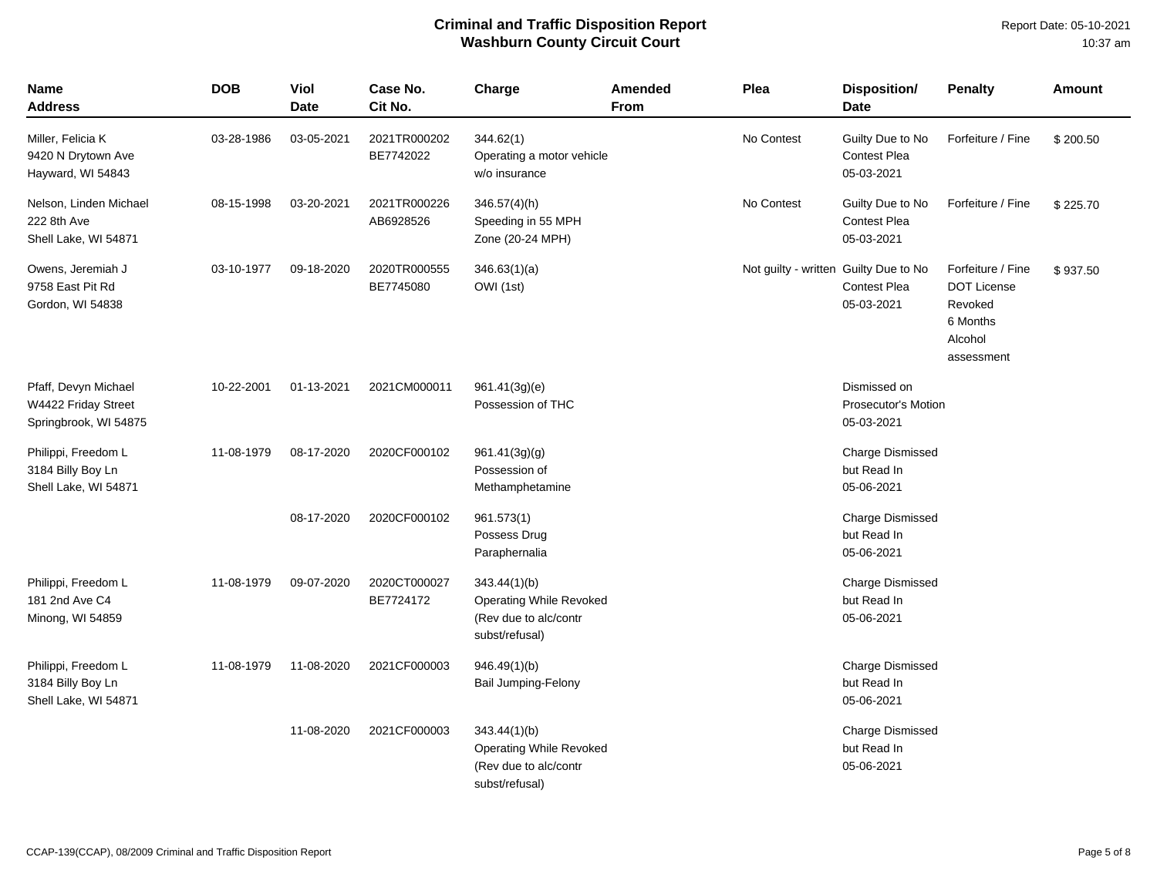| <b>Name</b><br>Address                                               | <b>DOB</b> | Viol<br><b>Date</b> | Case No.<br>Cit No.       | Charge                                                                                    | <b>Amended</b><br>From | Plea                                  | <b>Disposition/</b><br><b>Date</b>                       | <b>Penalty</b>                                                                          | <b>Amount</b> |
|----------------------------------------------------------------------|------------|---------------------|---------------------------|-------------------------------------------------------------------------------------------|------------------------|---------------------------------------|----------------------------------------------------------|-----------------------------------------------------------------------------------------|---------------|
| Miller, Felicia K<br>9420 N Drytown Ave<br>Hayward, WI 54843         | 03-28-1986 | 03-05-2021          | 2021TR000202<br>BE7742022 | 344.62(1)<br>Operating a motor vehicle<br>w/o insurance                                   |                        | No Contest                            | Guilty Due to No<br><b>Contest Plea</b><br>05-03-2021    | Forfeiture / Fine                                                                       | \$200.50      |
| Nelson, Linden Michael<br>222 8th Ave<br>Shell Lake, WI 54871        | 08-15-1998 | 03-20-2021          | 2021TR000226<br>AB6928526 | 346.57(4)(h)<br>Speeding in 55 MPH<br>Zone (20-24 MPH)                                    |                        | No Contest                            | Guilty Due to No<br>Contest Plea<br>05-03-2021           | Forfeiture / Fine                                                                       | \$225.70      |
| Owens, Jeremiah J<br>9758 East Pit Rd<br>Gordon, WI 54838            | 03-10-1977 | 09-18-2020          | 2020TR000555<br>BE7745080 | 346.63(1)(a)<br>OWI (1st)                                                                 |                        | Not guilty - written Guilty Due to No | <b>Contest Plea</b><br>05-03-2021                        | Forfeiture / Fine<br><b>DOT License</b><br>Revoked<br>6 Months<br>Alcohol<br>assessment | \$937.50      |
| Pfaff, Devyn Michael<br>W4422 Friday Street<br>Springbrook, WI 54875 | 10-22-2001 | 01-13-2021          | 2021CM000011              | 961.41(3g)(e)<br>Possession of THC                                                        |                        |                                       | Dismissed on<br><b>Prosecutor's Motion</b><br>05-03-2021 |                                                                                         |               |
| Philippi, Freedom L<br>3184 Billy Boy Ln<br>Shell Lake, WI 54871     | 11-08-1979 | 08-17-2020          | 2020CF000102              | 961.41(3g)(g)<br>Possession of<br>Methamphetamine                                         |                        |                                       | Charge Dismissed<br>but Read In<br>05-06-2021            |                                                                                         |               |
|                                                                      |            | 08-17-2020          | 2020CF000102              | 961.573(1)<br>Possess Drug<br>Paraphernalia                                               |                        |                                       | Charge Dismissed<br>but Read In<br>05-06-2021            |                                                                                         |               |
| Philippi, Freedom L<br>181 2nd Ave C4<br>Minong, WI 54859            | 11-08-1979 | 09-07-2020          | 2020CT000027<br>BE7724172 | 343.44(1)(b)<br><b>Operating While Revoked</b><br>(Rev due to alc/contr<br>subst/refusal) |                        |                                       | Charge Dismissed<br>but Read In<br>05-06-2021            |                                                                                         |               |
| Philippi, Freedom L<br>3184 Billy Boy Ln<br>Shell Lake, WI 54871     | 11-08-1979 | 11-08-2020          | 2021CF000003              | 946.49(1)(b)<br>Bail Jumping-Felony                                                       |                        |                                       | Charge Dismissed<br>but Read In<br>05-06-2021            |                                                                                         |               |
|                                                                      |            | 11-08-2020          | 2021CF000003              | 343.44(1)(b)<br><b>Operating While Revoked</b><br>(Rev due to alc/contr<br>subst/refusal) |                        |                                       | Charge Dismissed<br>but Read In<br>05-06-2021            |                                                                                         |               |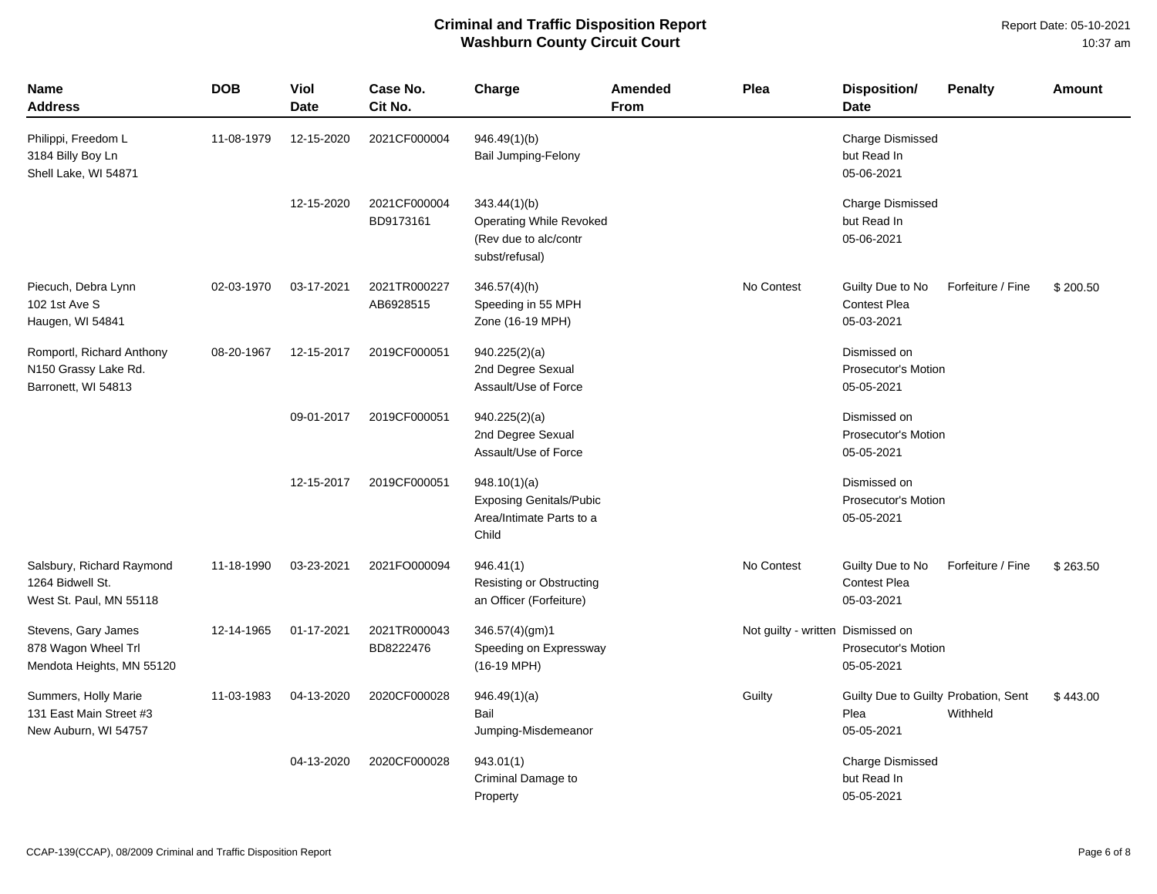Report Date: 05-10-2021 10:37 am

| <b>Name</b><br>Address                                                   | <b>DOB</b> | Viol<br><b>Date</b> | Case No.<br>Cit No.       | Charge                                                                              | Amended<br><b>From</b> | Plea                              | <b>Disposition/</b><br><b>Date</b>                         | <b>Penalty</b>    | Amount   |
|--------------------------------------------------------------------------|------------|---------------------|---------------------------|-------------------------------------------------------------------------------------|------------------------|-----------------------------------|------------------------------------------------------------|-------------------|----------|
| Philippi, Freedom L<br>3184 Billy Boy Ln<br>Shell Lake, WI 54871         | 11-08-1979 | 12-15-2020          | 2021CF000004              | 946.49(1)(b)<br>Bail Jumping-Felony                                                 |                        |                                   | <b>Charge Dismissed</b><br>but Read In<br>05-06-2021       |                   |          |
|                                                                          |            | 12-15-2020          | 2021CF000004<br>BD9173161 | 343.44(1)(b)<br>Operating While Revoked<br>(Rev due to alc/contr<br>subst/refusal)  |                        |                                   | <b>Charge Dismissed</b><br>but Read In<br>05-06-2021       |                   |          |
| Piecuch, Debra Lynn<br>102 1st Ave S<br>Haugen, WI 54841                 | 02-03-1970 | 03-17-2021          | 2021TR000227<br>AB6928515 | 346.57(4)(h)<br>Speeding in 55 MPH<br>Zone (16-19 MPH)                              |                        | No Contest                        | Guilty Due to No<br><b>Contest Plea</b><br>05-03-2021      | Forfeiture / Fine | \$200.50 |
| Romportl, Richard Anthony<br>N150 Grassy Lake Rd.<br>Barronett, WI 54813 | 08-20-1967 | 12-15-2017          | 2019CF000051              | 940.225(2)(a)<br>2nd Degree Sexual<br>Assault/Use of Force                          |                        |                                   | Dismissed on<br><b>Prosecutor's Motion</b><br>05-05-2021   |                   |          |
|                                                                          |            | 09-01-2017          | 2019CF000051              | 940.225(2)(a)<br>2nd Degree Sexual<br>Assault/Use of Force                          |                        |                                   | Dismissed on<br>Prosecutor's Motion<br>05-05-2021          |                   |          |
|                                                                          |            | 12-15-2017          | 2019CF000051              | 948.10(1)(a)<br><b>Exposing Genitals/Pubic</b><br>Area/Intimate Parts to a<br>Child |                        |                                   | Dismissed on<br>Prosecutor's Motion<br>05-05-2021          |                   |          |
| Salsbury, Richard Raymond<br>1264 Bidwell St.<br>West St. Paul, MN 55118 | 11-18-1990 | 03-23-2021          | 2021FO000094              | 946.41(1)<br>Resisting or Obstructing<br>an Officer (Forfeiture)                    |                        | No Contest                        | Guilty Due to No<br><b>Contest Plea</b><br>05-03-2021      | Forfeiture / Fine | \$263.50 |
| Stevens, Gary James<br>878 Wagon Wheel Trl<br>Mendota Heights, MN 55120  | 12-14-1965 | 01-17-2021          | 2021TR000043<br>BD8222476 | 346.57(4)(gm)1<br>Speeding on Expressway<br>$(16-19 \text{ MPH})$                   |                        | Not guilty - written Dismissed on | Prosecutor's Motion<br>05-05-2021                          |                   |          |
| Summers, Holly Marie<br>131 East Main Street #3<br>New Auburn, WI 54757  | 11-03-1983 | 04-13-2020          | 2020CF000028              | 946.49(1)(a)<br>Bail<br>Jumping-Misdemeanor                                         |                        | Guilty                            | Guilty Due to Guilty Probation, Sent<br>Plea<br>05-05-2021 | Withheld          | \$443.00 |
|                                                                          |            | 04-13-2020          | 2020CF000028              | 943.01(1)<br>Criminal Damage to<br>Property                                         |                        |                                   | <b>Charge Dismissed</b><br>but Read In<br>05-05-2021       |                   |          |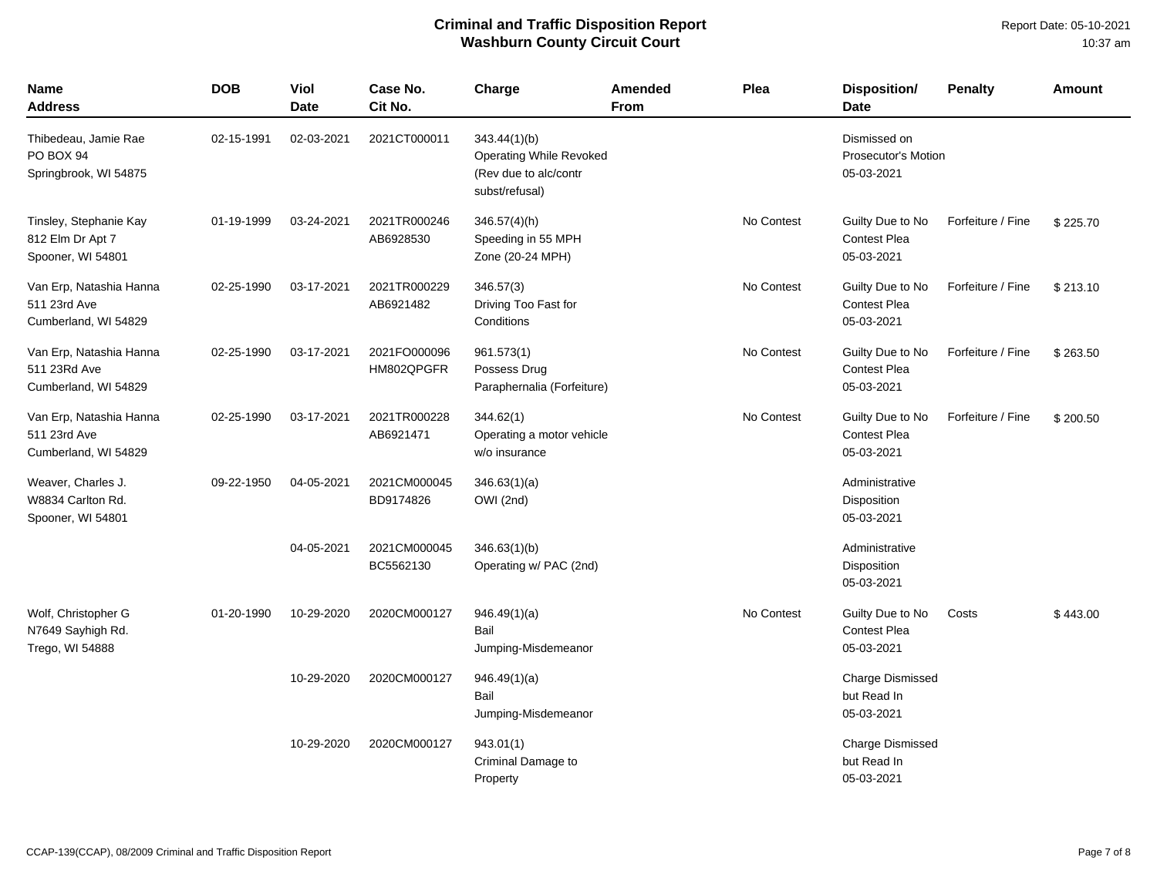| Name<br>Address                                                 | <b>DOB</b> | Viol<br><b>Date</b> | Case No.<br>Cit No.        | Charge                                                                                    | Amended<br>From | Plea       | <b>Disposition/</b><br><b>Date</b>                       | <b>Penalty</b>    | <b>Amount</b> |
|-----------------------------------------------------------------|------------|---------------------|----------------------------|-------------------------------------------------------------------------------------------|-----------------|------------|----------------------------------------------------------|-------------------|---------------|
| Thibedeau, Jamie Rae<br>PO BOX 94<br>Springbrook, WI 54875      | 02-15-1991 | 02-03-2021          | 2021CT000011               | 343.44(1)(b)<br><b>Operating While Revoked</b><br>(Rev due to alc/contr<br>subst/refusal) |                 |            | Dismissed on<br><b>Prosecutor's Motion</b><br>05-03-2021 |                   |               |
| Tinsley, Stephanie Kay<br>812 Elm Dr Apt 7<br>Spooner, WI 54801 | 01-19-1999 | 03-24-2021          | 2021TR000246<br>AB6928530  | 346.57(4)(h)<br>Speeding in 55 MPH<br>Zone (20-24 MPH)                                    |                 | No Contest | Guilty Due to No<br><b>Contest Plea</b><br>05-03-2021    | Forfeiture / Fine | \$225.70      |
| Van Erp, Natashia Hanna<br>511 23rd Ave<br>Cumberland, WI 54829 | 02-25-1990 | 03-17-2021          | 2021TR000229<br>AB6921482  | 346.57(3)<br>Driving Too Fast for<br>Conditions                                           |                 | No Contest | Guilty Due to No<br><b>Contest Plea</b><br>05-03-2021    | Forfeiture / Fine | \$213.10      |
| Van Erp, Natashia Hanna<br>511 23Rd Ave<br>Cumberland, WI 54829 | 02-25-1990 | 03-17-2021          | 2021FO000096<br>HM802QPGFR | 961.573(1)<br>Possess Drug<br>Paraphernalia (Forfeiture)                                  |                 | No Contest | Guilty Due to No<br><b>Contest Plea</b><br>05-03-2021    | Forfeiture / Fine | \$263.50      |
| Van Erp, Natashia Hanna<br>511 23rd Ave<br>Cumberland, WI 54829 | 02-25-1990 | 03-17-2021          | 2021TR000228<br>AB6921471  | 344.62(1)<br>Operating a motor vehicle<br>w/o insurance                                   |                 | No Contest | Guilty Due to No<br><b>Contest Plea</b><br>05-03-2021    | Forfeiture / Fine | \$200.50      |
| Weaver, Charles J.<br>W8834 Carlton Rd.<br>Spooner, WI 54801    | 09-22-1950 | 04-05-2021          | 2021CM000045<br>BD9174826  | 346.63(1)(a)<br>OWI (2nd)                                                                 |                 |            | Administrative<br>Disposition<br>05-03-2021              |                   |               |
|                                                                 |            | 04-05-2021          | 2021CM000045<br>BC5562130  | 346.63(1)(b)<br>Operating w/ PAC (2nd)                                                    |                 |            | Administrative<br>Disposition<br>05-03-2021              |                   |               |
| Wolf, Christopher G<br>N7649 Sayhigh Rd.<br>Trego, WI 54888     | 01-20-1990 | 10-29-2020          | 2020CM000127               | 946.49(1)(a)<br>Bail<br>Jumping-Misdemeanor                                               |                 | No Contest | Guilty Due to No<br><b>Contest Plea</b><br>05-03-2021    | Costs             | \$443.00      |
|                                                                 |            | 10-29-2020          | 2020CM000127               | 946.49(1)(a)<br>Bail<br>Jumping-Misdemeanor                                               |                 |            | <b>Charge Dismissed</b><br>but Read In<br>05-03-2021     |                   |               |
|                                                                 |            | 10-29-2020          | 2020CM000127               | 943.01(1)<br>Criminal Damage to<br>Property                                               |                 |            | <b>Charge Dismissed</b><br>but Read In<br>05-03-2021     |                   |               |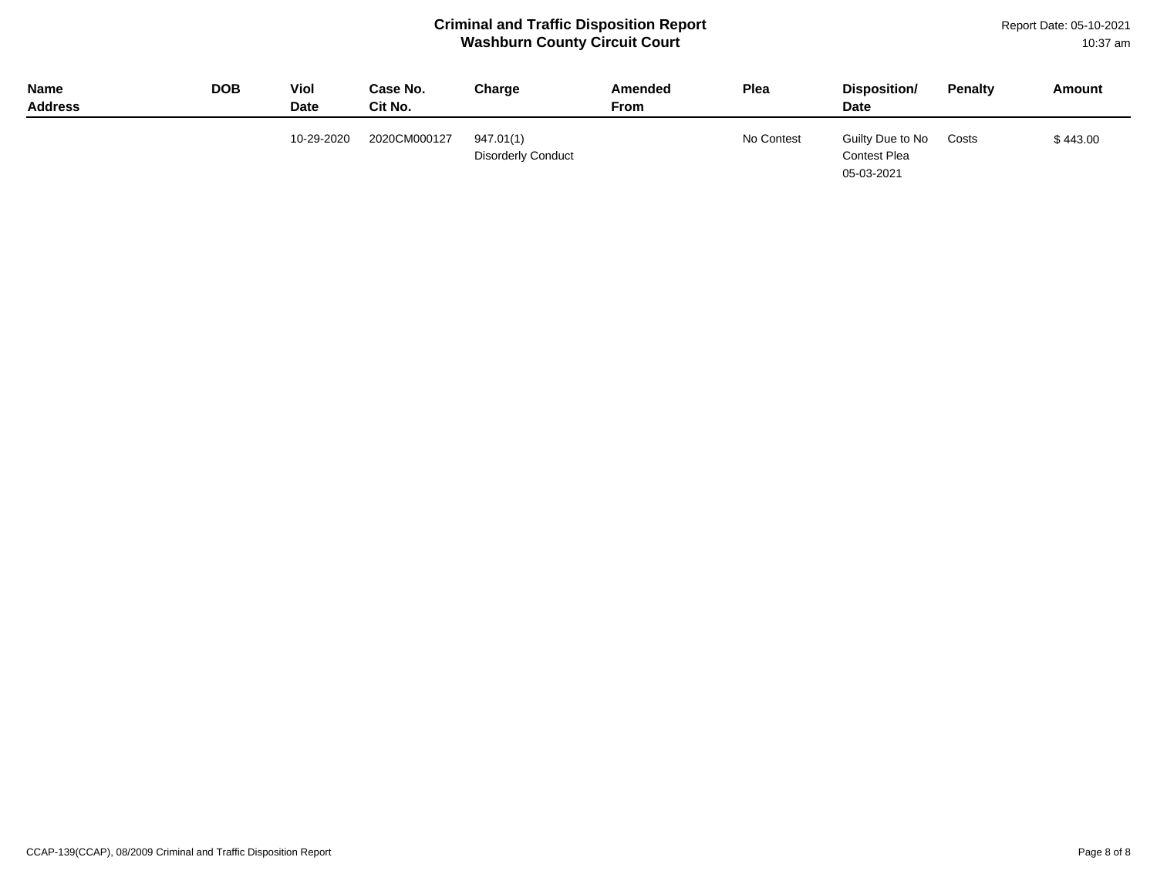Report Date: 05-10-2021 10:37 am

| <b>Name</b><br><b>Address</b> | <b>DOB</b> | Viol<br><b>Date</b> | Case No.<br>Cit No. | Charge                                 | Amended<br>From | Plea       | Disposition/<br><b>Date</b>                    | Penalty | Amount   |
|-------------------------------|------------|---------------------|---------------------|----------------------------------------|-----------------|------------|------------------------------------------------|---------|----------|
|                               |            | 10-29-2020          | 2020CM000127        | 947.01(1)<br><b>Disorderly Conduct</b> |                 | No Contest | Guilty Due to No<br>Contest Plea<br>05-03-2021 | Costs   | \$443.00 |